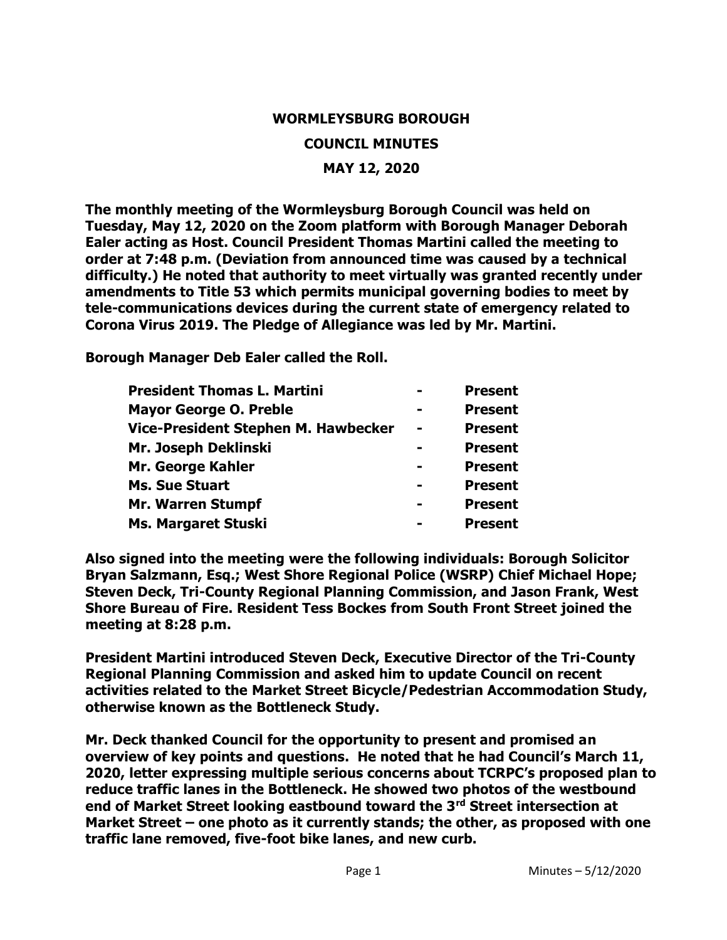#### **WORMLEYSBURG BOROUGH**

#### **COUNCIL MINUTES**

#### **MAY 12, 2020**

**The monthly meeting of the Wormleysburg Borough Council was held on Tuesday, May 12, 2020 on the Zoom platform with Borough Manager Deborah Ealer acting as Host. Council President Thomas Martini called the meeting to order at 7:48 p.m. (Deviation from announced time was caused by a technical difficulty.) He noted that authority to meet virtually was granted recently under amendments to Title 53 which permits municipal governing bodies to meet by tele-communications devices during the current state of emergency related to Corona Virus 2019. The Pledge of Allegiance was led by Mr. Martini.** 

**Borough Manager Deb Ealer called the Roll.**

| <b>President Thomas L. Martini</b>  | <b>Present</b> |
|-------------------------------------|----------------|
| <b>Mayor George O. Preble</b>       | <b>Present</b> |
| Vice-President Stephen M. Hawbecker | <b>Present</b> |
| Mr. Joseph Deklinski                | <b>Present</b> |
| Mr. George Kahler                   | <b>Present</b> |
| <b>Ms. Sue Stuart</b>               | <b>Present</b> |
| <b>Mr. Warren Stumpf</b>            | <b>Present</b> |
| Ms. Margaret Stuski                 | <b>Present</b> |

**Also signed into the meeting were the following individuals: Borough Solicitor Bryan Salzmann, Esq.; West Shore Regional Police (WSRP) Chief Michael Hope; Steven Deck, Tri-County Regional Planning Commission, and Jason Frank, West Shore Bureau of Fire. Resident Tess Bockes from South Front Street joined the meeting at 8:28 p.m.**

**President Martini introduced Steven Deck, Executive Director of the Tri-County Regional Planning Commission and asked him to update Council on recent activities related to the Market Street Bicycle/Pedestrian Accommodation Study, otherwise known as the Bottleneck Study.** 

**Mr. Deck thanked Council for the opportunity to present and promised an overview of key points and questions. He noted that he had Council's March 11, 2020, letter expressing multiple serious concerns about TCRPC's proposed plan to reduce traffic lanes in the Bottleneck. He showed two photos of the westbound end of Market Street looking eastbound toward the 3rd Street intersection at Market Street – one photo as it currently stands; the other, as proposed with one traffic lane removed, five-foot bike lanes, and new curb.**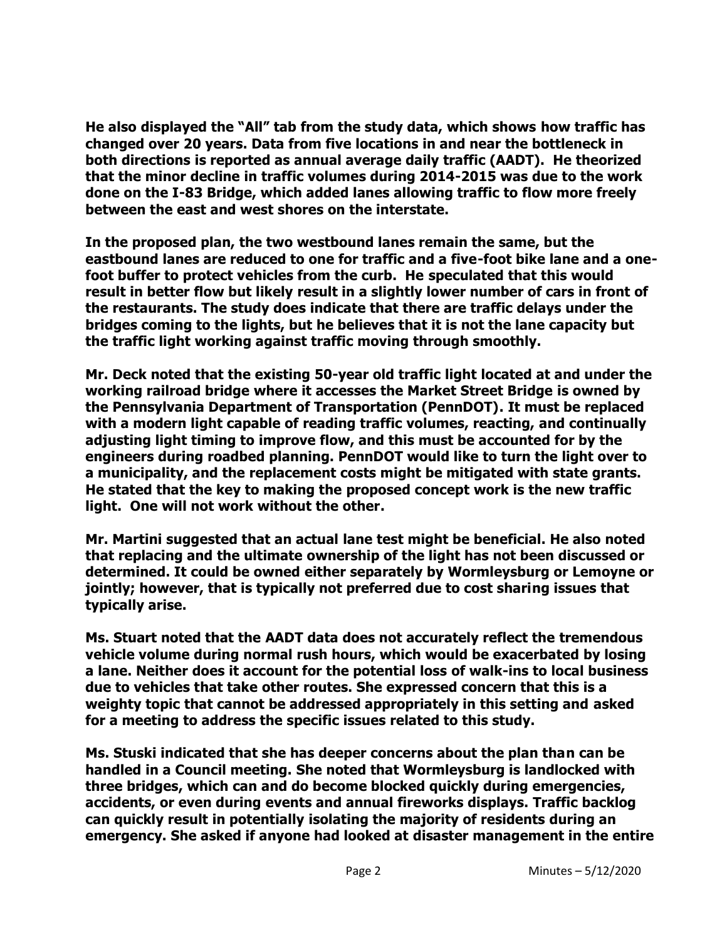**He also displayed the "All" tab from the study data, which shows how traffic has changed over 20 years. Data from five locations in and near the bottleneck in both directions is reported as annual average daily traffic (AADT). He theorized that the minor decline in traffic volumes during 2014-2015 was due to the work done on the I-83 Bridge, which added lanes allowing traffic to flow more freely between the east and west shores on the interstate.**

**In the proposed plan, the two westbound lanes remain the same, but the eastbound lanes are reduced to one for traffic and a five-foot bike lane and a onefoot buffer to protect vehicles from the curb. He speculated that this would result in better flow but likely result in a slightly lower number of cars in front of the restaurants. The study does indicate that there are traffic delays under the bridges coming to the lights, but he believes that it is not the lane capacity but the traffic light working against traffic moving through smoothly.** 

**Mr. Deck noted that the existing 50-year old traffic light located at and under the working railroad bridge where it accesses the Market Street Bridge is owned by the Pennsylvania Department of Transportation (PennDOT). It must be replaced with a modern light capable of reading traffic volumes, reacting, and continually adjusting light timing to improve flow, and this must be accounted for by the engineers during roadbed planning. PennDOT would like to turn the light over to a municipality, and the replacement costs might be mitigated with state grants. He stated that the key to making the proposed concept work is the new traffic light. One will not work without the other.** 

**Mr. Martini suggested that an actual lane test might be beneficial. He also noted that replacing and the ultimate ownership of the light has not been discussed or determined. It could be owned either separately by Wormleysburg or Lemoyne or jointly; however, that is typically not preferred due to cost sharing issues that typically arise.** 

**Ms. Stuart noted that the AADT data does not accurately reflect the tremendous vehicle volume during normal rush hours, which would be exacerbated by losing a lane. Neither does it account for the potential loss of walk-ins to local business due to vehicles that take other routes. She expressed concern that this is a weighty topic that cannot be addressed appropriately in this setting and asked for a meeting to address the specific issues related to this study.** 

**Ms. Stuski indicated that she has deeper concerns about the plan than can be handled in a Council meeting. She noted that Wormleysburg is landlocked with three bridges, which can and do become blocked quickly during emergencies, accidents, or even during events and annual fireworks displays. Traffic backlog can quickly result in potentially isolating the majority of residents during an emergency. She asked if anyone had looked at disaster management in the entire**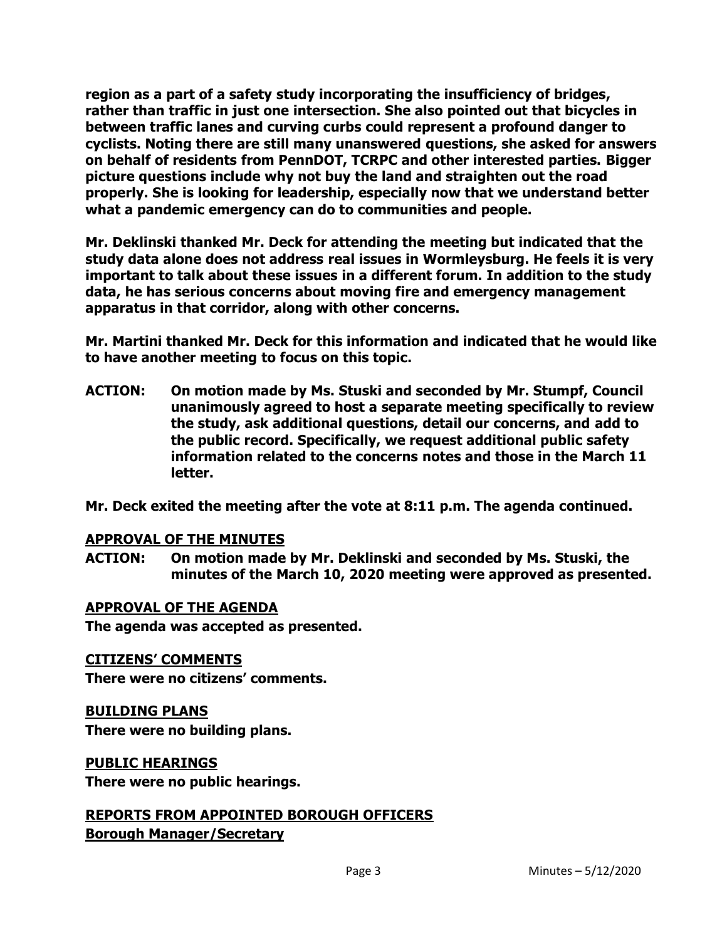**region as a part of a safety study incorporating the insufficiency of bridges, rather than traffic in just one intersection. She also pointed out that bicycles in between traffic lanes and curving curbs could represent a profound danger to cyclists. Noting there are still many unanswered questions, she asked for answers on behalf of residents from PennDOT, TCRPC and other interested parties. Bigger picture questions include why not buy the land and straighten out the road properly. She is looking for leadership, especially now that we understand better what a pandemic emergency can do to communities and people.** 

**Mr. Deklinski thanked Mr. Deck for attending the meeting but indicated that the study data alone does not address real issues in Wormleysburg. He feels it is very important to talk about these issues in a different forum. In addition to the study data, he has serious concerns about moving fire and emergency management apparatus in that corridor, along with other concerns.** 

**Mr. Martini thanked Mr. Deck for this information and indicated that he would like to have another meeting to focus on this topic.**

**ACTION: On motion made by Ms. Stuski and seconded by Mr. Stumpf, Council unanimously agreed to host a separate meeting specifically to review the study, ask additional questions, detail our concerns, and add to the public record. Specifically, we request additional public safety information related to the concerns notes and those in the March 11 letter.** 

**Mr. Deck exited the meeting after the vote at 8:11 p.m. The agenda continued.** 

#### **APPROVAL OF THE MINUTES**

**ACTION: On motion made by Mr. Deklinski and seconded by Ms. Stuski, the minutes of the March 10, 2020 meeting were approved as presented.**

#### **APPROVAL OF THE AGENDA**

**The agenda was accepted as presented.** 

#### **CITIZENS' COMMENTS**

**There were no citizens' comments.** 

## **BUILDING PLANS**

**There were no building plans.** 

#### **PUBLIC HEARINGS**

**There were no public hearings.**

# **REPORTS FROM APPOINTED BOROUGH OFFICERS**

**Borough Manager/Secretary**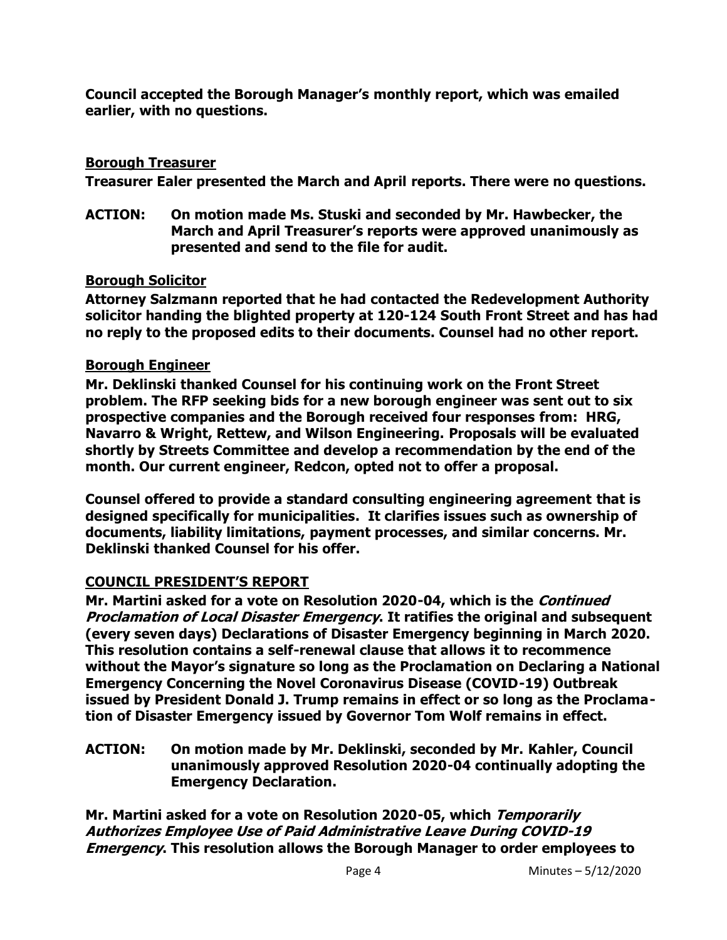**Council accepted the Borough Manager's monthly report, which was emailed earlier, with no questions.**

## **Borough Treasurer**

**Treasurer Ealer presented the March and April reports. There were no questions.** 

**ACTION: On motion made Ms. Stuski and seconded by Mr. Hawbecker, the March and April Treasurer's reports were approved unanimously as presented and send to the file for audit.** 

## **Borough Solicitor**

**Attorney Salzmann reported that he had contacted the Redevelopment Authority solicitor handing the blighted property at 120-124 South Front Street and has had no reply to the proposed edits to their documents. Counsel had no other report.** 

## **Borough Engineer**

**Mr. Deklinski thanked Counsel for his continuing work on the Front Street problem. The RFP seeking bids for a new borough engineer was sent out to six prospective companies and the Borough received four responses from: HRG, Navarro & Wright, Rettew, and Wilson Engineering. Proposals will be evaluated shortly by Streets Committee and develop a recommendation by the end of the month. Our current engineer, Redcon, opted not to offer a proposal.**

**Counsel offered to provide a standard consulting engineering agreement that is designed specifically for municipalities. It clarifies issues such as ownership of documents, liability limitations, payment processes, and similar concerns. Mr. Deklinski thanked Counsel for his offer.** 

## **COUNCIL PRESIDENT'S REPORT**

**Mr. Martini asked for a vote on Resolution 2020-04, which is the Continued Proclamation of Local Disaster Emergency. It ratifies the original and subsequent (every seven days) Declarations of Disaster Emergency beginning in March 2020. This resolution contains a self-renewal clause that allows it to recommence without the Mayor's signature so long as the Proclamation on Declaring a National Emergency Concerning the Novel Coronavirus Disease (COVID-19) Outbreak issued by President Donald J. Trump remains in effect or so long as the Proclamation of Disaster Emergency issued by Governor Tom Wolf remains in effect.** 

**ACTION: On motion made by Mr. Deklinski, seconded by Mr. Kahler, Council unanimously approved Resolution 2020-04 continually adopting the Emergency Declaration.**

**Mr. Martini asked for a vote on Resolution 2020-05, which Temporarily Authorizes Employee Use of Paid Administrative Leave During COVID-19 Emergency. This resolution allows the Borough Manager to order employees to**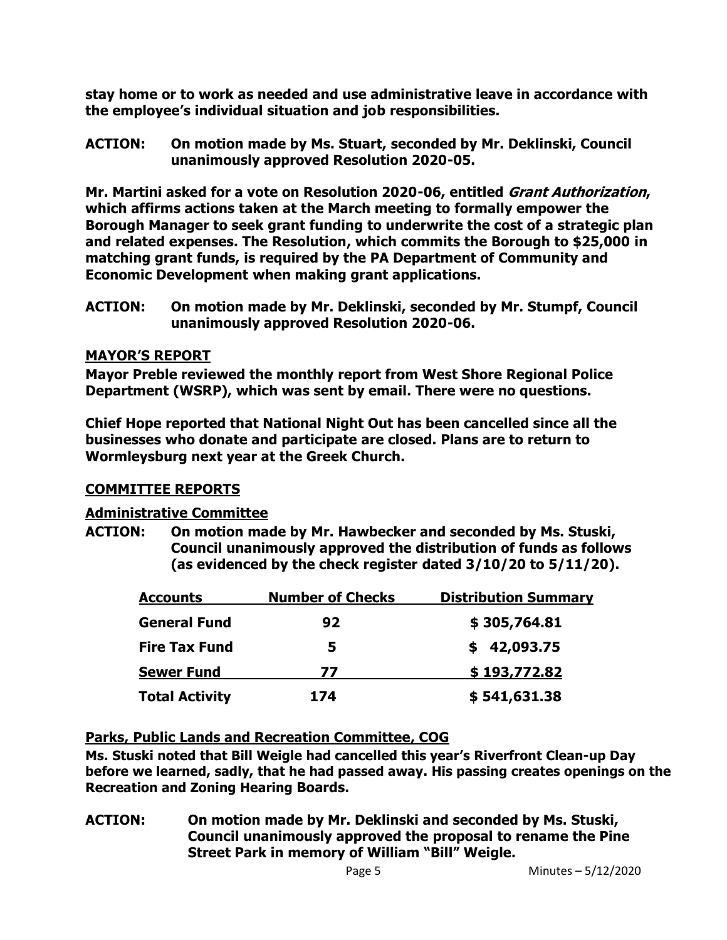**stay home or to work as needed and use administrative leave in accordance with the employee's individual situation and job responsibilities.** 

**ACTION: On motion made by Ms. Stuart, seconded by Mr. Deklinski, Council unanimously approved Resolution 2020-05.**

**Mr. Martini asked for a vote on Resolution 2020-06, entitled Grant Authorization, which affirms actions taken at the March meeting to formally empower the Borough Manager to seek grant funding to underwrite the cost of a strategic plan and related expenses. The Resolution, which commits the Borough to \$25,000 in matching grant funds, is required by the PA Department of Community and Economic Development when making grant applications.** 

**ACTION: On motion made by Mr. Deklinski, seconded by Mr. Stumpf, Council unanimously approved Resolution 2020-06.**

## **MAYOR'S REPORT**

**Mayor Preble reviewed the monthly report from West Shore Regional Police Department (WSRP), which was sent by email. There were no questions.** 

**Chief Hope reported that National Night Out has been cancelled since all the businesses who donate and participate are closed. Plans are to return to Wormleysburg next year at the Greek Church.** 

## **COMMITTEE REPORTS**

## **Administrative Committee**

**ACTION: On motion made by Mr. Hawbecker and seconded by Ms. Stuski, Council unanimously approved the distribution of funds as follows (as evidenced by the check register dated 3/10/20 to 5/11/20).**

| <b>Accounts</b>       | <b>Number of Checks</b> | <b>Distribution Summary</b> |
|-----------------------|-------------------------|-----------------------------|
| <b>General Fund</b>   | 92                      | \$305,764.81                |
| <b>Fire Tax Fund</b>  | 5                       | \$42,093.75                 |
| <b>Sewer Fund</b>     | 77                      | \$193,772.82                |
| <b>Total Activity</b> | 174                     | \$541,631.38                |

## **Parks, Public Lands and Recreation Committee, COG**

**Ms. Stuski noted that Bill Weigle had cancelled this year's Riverfront Clean-up Day before we learned, sadly, that he had passed away. His passing creates openings on the Recreation and Zoning Hearing Boards.** 

**ACTION: On motion made by Mr. Deklinski and seconded by Ms. Stuski, Council unanimously approved the proposal to rename the Pine Street Park in memory of William "Bill" Weigle.**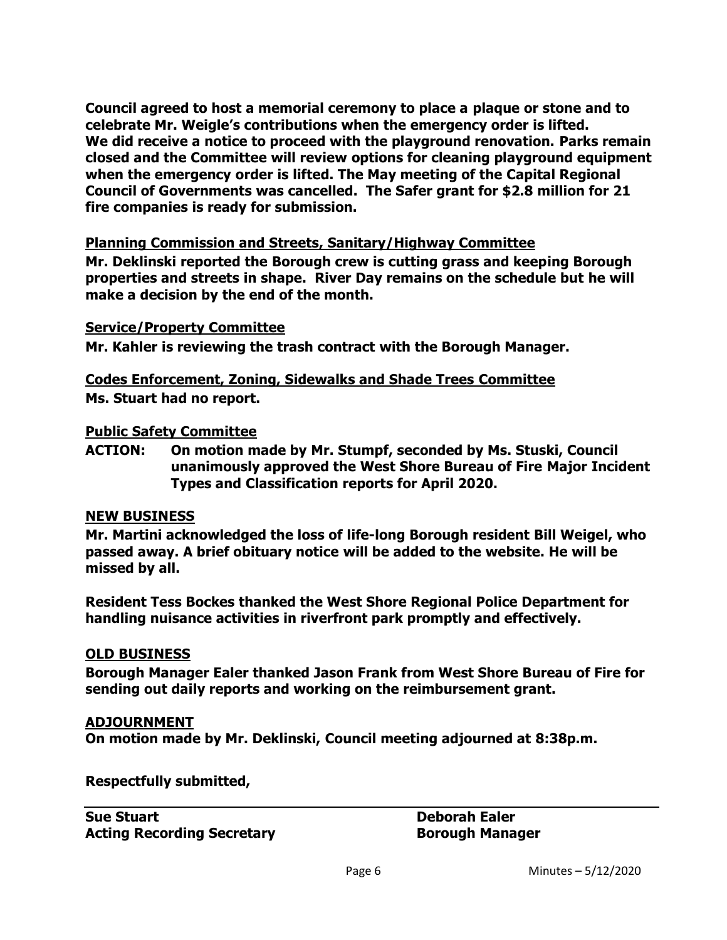**Council agreed to host a memorial ceremony to place a plaque or stone and to celebrate Mr. Weigle's contributions when the emergency order is lifted. We did receive a notice to proceed with the playground renovation. Parks remain closed and the Committee will review options for cleaning playground equipment when the emergency order is lifted. The May meeting of the Capital Regional Council of Governments was cancelled. The Safer grant for \$2.8 million for 21 fire companies is ready for submission.**

#### **Planning Commission and Streets, Sanitary/Highway Committee**

**Mr. Deklinski reported the Borough crew is cutting grass and keeping Borough properties and streets in shape. River Day remains on the schedule but he will make a decision by the end of the month.** 

#### **Service/Property Committee**

**Mr. Kahler is reviewing the trash contract with the Borough Manager.**

**Codes Enforcement, Zoning, Sidewalks and Shade Trees Committee Ms. Stuart had no report.** 

#### **Public Safety Committee**

**ACTION: On motion made by Mr. Stumpf, seconded by Ms. Stuski, Council unanimously approved the West Shore Bureau of Fire Major Incident Types and Classification reports for April 2020.** 

#### **NEW BUSINESS**

**Mr. Martini acknowledged the loss of life-long Borough resident Bill Weigel, who passed away. A brief obituary notice will be added to the website. He will be missed by all.** 

**Resident Tess Bockes thanked the West Shore Regional Police Department for handling nuisance activities in riverfront park promptly and effectively.** 

#### **OLD BUSINESS**

**Borough Manager Ealer thanked Jason Frank from West Shore Bureau of Fire for sending out daily reports and working on the reimbursement grant.** 

#### **ADJOURNMENT**

**On motion made by Mr. Deklinski, Council meeting adjourned at 8:38p.m.**

**Respectfully submitted,**

**Sue Stuart Deborah Ealer Acting Recording Secretary <b>Borough Manager Borough Manager**